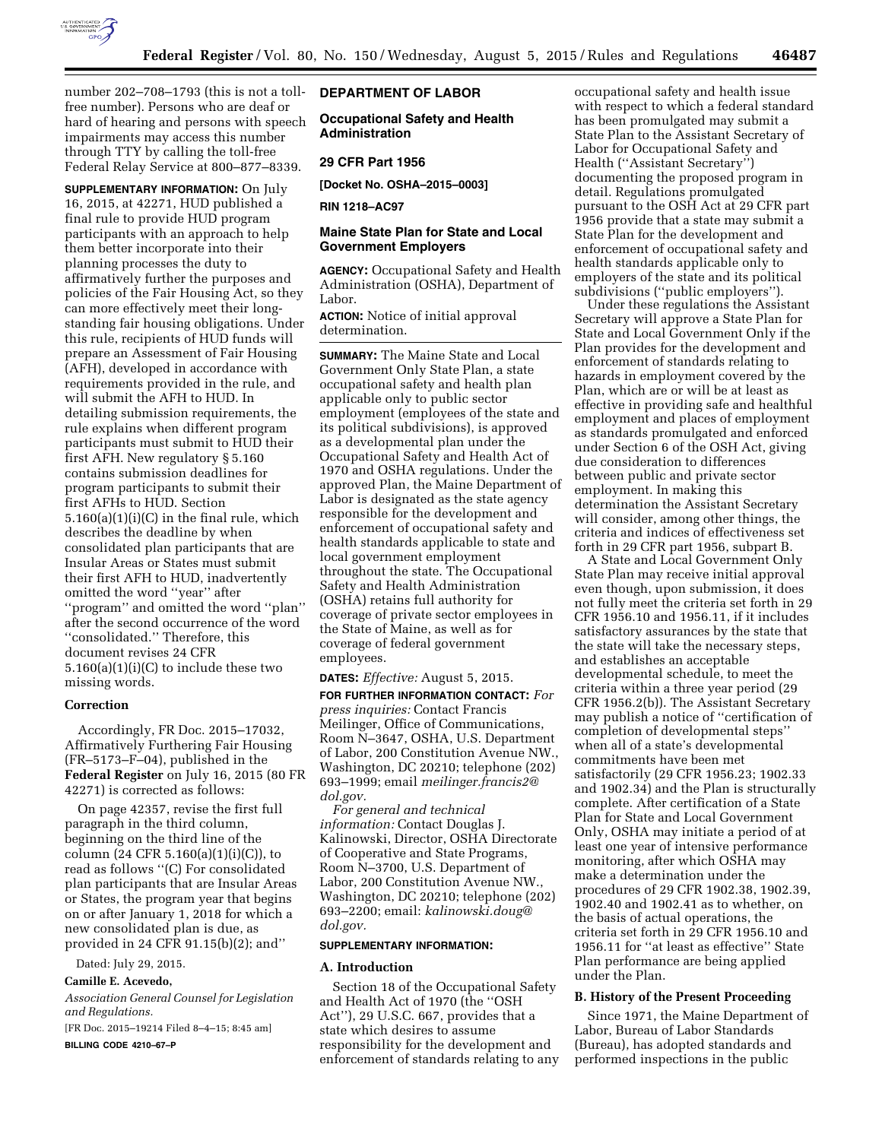

number 202–708–1793 (this is not a tollfree number). Persons who are deaf or hard of hearing and persons with speech impairments may access this number through TTY by calling the toll-free Federal Relay Service at 800–877–8339.

**SUPPLEMENTARY INFORMATION:** On July 16, 2015, at 42271, HUD published a final rule to provide HUD program participants with an approach to help them better incorporate into their planning processes the duty to affirmatively further the purposes and policies of the Fair Housing Act, so they can more effectively meet their longstanding fair housing obligations. Under this rule, recipients of HUD funds will prepare an Assessment of Fair Housing (AFH), developed in accordance with requirements provided in the rule, and will submit the AFH to HUD. In detailing submission requirements, the rule explains when different program participants must submit to HUD their first AFH. New regulatory § 5.160 contains submission deadlines for program participants to submit their first AFHs to HUD. Section  $5.160(a)(1)(i)(C)$  in the final rule, which describes the deadline by when consolidated plan participants that are Insular Areas or States must submit their first AFH to HUD, inadvertently omitted the word ''year'' after ''program'' and omitted the word ''plan'' after the second occurrence of the word ''consolidated.'' Therefore, this document revises 24 CFR  $5.160(a)(1)(i)(C)$  to include these two missing words.

#### **Correction**

Accordingly, FR Doc. 2015–17032, Affirmatively Furthering Fair Housing (FR–5173–F–04), published in the **Federal Register** on July 16, 2015 (80 FR 42271) is corrected as follows:

On page 42357, revise the first full paragraph in the third column, beginning on the third line of the column  $(24 \text{ CFR } 5.160(a)(1)(i)(C))$ , to read as follows ''(C) For consolidated plan participants that are Insular Areas or States, the program year that begins on or after January 1, 2018 for which a new consolidated plan is due, as provided in 24 CFR 91.15(b)(2); and''

Dated: July 29, 2015.

### **Camille E. Acevedo,**

*Association General Counsel for Legislation and Regulations.* 

[FR Doc. 2015–19214 Filed 8–4–15; 8:45 am]

**BILLING CODE 4210–67–P** 

## **DEPARTMENT OF LABOR**

**Occupational Safety and Health Administration** 

## **29 CFR Part 1956**

**[Docket No. OSHA–2015–0003]** 

**RIN 1218–AC97** 

# **Maine State Plan for State and Local Government Employers**

**AGENCY:** Occupational Safety and Health Administration (OSHA), Department of Labor.

**ACTION:** Notice of initial approval determination.

**SUMMARY:** The Maine State and Local Government Only State Plan, a state occupational safety and health plan applicable only to public sector employment (employees of the state and its political subdivisions), is approved as a developmental plan under the Occupational Safety and Health Act of 1970 and OSHA regulations. Under the approved Plan, the Maine Department of Labor is designated as the state agency responsible for the development and enforcement of occupational safety and health standards applicable to state and local government employment throughout the state. The Occupational Safety and Health Administration (OSHA) retains full authority for coverage of private sector employees in the State of Maine, as well as for coverage of federal government employees.

### **DATES:** *Effective:* August 5, 2015.

**FOR FURTHER INFORMATION CONTACT:** *For press inquiries:* Contact Francis Meilinger, Office of Communications, Room N–3647, OSHA, U.S. Department of Labor, 200 Constitution Avenue NW., Washington, DC 20210; telephone (202) 693–1999; email *[meilinger.francis2@](mailto:meilinger.francis2@dol.gov) [dol.gov.](mailto:meilinger.francis2@dol.gov)* 

*For general and technical information:* Contact Douglas J. Kalinowski, Director, OSHA Directorate of Cooperative and State Programs, Room N–3700, U.S. Department of Labor, 200 Constitution Avenue NW., Washington, DC 20210; telephone (202) 693–2200; email: *[kalinowski.doug@](mailto:kalinowski.doug@dol.gov) [dol.gov.](mailto:kalinowski.doug@dol.gov)* 

#### **SUPPLEMENTARY INFORMATION:**

#### **A. Introduction**

Section 18 of the Occupational Safety and Health Act of 1970 (the ''OSH Act''), 29 U.S.C. 667, provides that a state which desires to assume responsibility for the development and enforcement of standards relating to any

occupational safety and health issue with respect to which a federal standard has been promulgated may submit a State Plan to the Assistant Secretary of Labor for Occupational Safety and Health (''Assistant Secretary'') documenting the proposed program in detail. Regulations promulgated pursuant to the OSH Act at 29 CFR part 1956 provide that a state may submit a State Plan for the development and enforcement of occupational safety and health standards applicable only to employers of the state and its political subdivisions (''public employers'').

Under these regulations the Assistant Secretary will approve a State Plan for State and Local Government Only if the Plan provides for the development and enforcement of standards relating to hazards in employment covered by the Plan, which are or will be at least as effective in providing safe and healthful employment and places of employment as standards promulgated and enforced under Section 6 of the OSH Act, giving due consideration to differences between public and private sector employment. In making this determination the Assistant Secretary will consider, among other things, the criteria and indices of effectiveness set forth in 29 CFR part 1956, subpart B.

A State and Local Government Only State Plan may receive initial approval even though, upon submission, it does not fully meet the criteria set forth in 29 CFR 1956.10 and 1956.11, if it includes satisfactory assurances by the state that the state will take the necessary steps, and establishes an acceptable developmental schedule, to meet the criteria within a three year period (29 CFR 1956.2(b)). The Assistant Secretary may publish a notice of ''certification of completion of developmental steps'' when all of a state's developmental commitments have been met satisfactorily (29 CFR 1956.23; 1902.33 and 1902.34) and the Plan is structurally complete. After certification of a State Plan for State and Local Government Only, OSHA may initiate a period of at least one year of intensive performance monitoring, after which OSHA may make a determination under the procedures of 29 CFR 1902.38, 1902.39, 1902.40 and 1902.41 as to whether, on the basis of actual operations, the criteria set forth in 29 CFR 1956.10 and 1956.11 for ''at least as effective'' State Plan performance are being applied under the Plan.

#### **B. History of the Present Proceeding**

Since 1971, the Maine Department of Labor, Bureau of Labor Standards (Bureau), has adopted standards and performed inspections in the public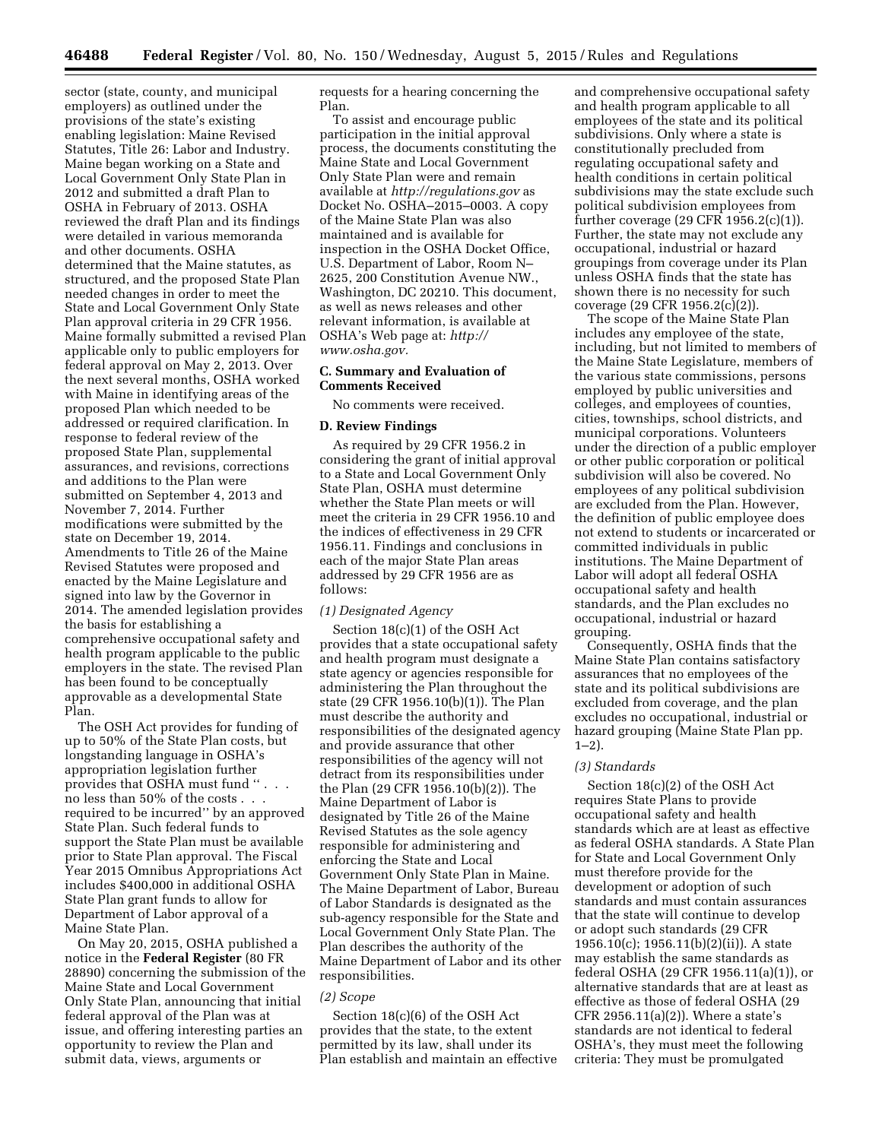sector (state, county, and municipal employers) as outlined under the provisions of the state's existing enabling legislation: Maine Revised Statutes, Title 26: Labor and Industry. Maine began working on a State and Local Government Only State Plan in 2012 and submitted a draft Plan to OSHA in February of 2013. OSHA reviewed the draft Plan and its findings were detailed in various memoranda and other documents. OSHA determined that the Maine statutes, as structured, and the proposed State Plan needed changes in order to meet the State and Local Government Only State Plan approval criteria in 29 CFR 1956. Maine formally submitted a revised Plan applicable only to public employers for federal approval on May 2, 2013. Over the next several months, OSHA worked with Maine in identifying areas of the proposed Plan which needed to be addressed or required clarification. In response to federal review of the proposed State Plan, supplemental assurances, and revisions, corrections and additions to the Plan were submitted on September 4, 2013 and November 7, 2014. Further modifications were submitted by the state on December 19, 2014. Amendments to Title 26 of the Maine Revised Statutes were proposed and enacted by the Maine Legislature and signed into law by the Governor in 2014. The amended legislation provides the basis for establishing a comprehensive occupational safety and health program applicable to the public employers in the state. The revised Plan has been found to be conceptually approvable as a developmental State Plan.

The OSH Act provides for funding of up to 50% of the State Plan costs, but longstanding language in OSHA's appropriation legislation further provides that OSHA must fund '' . . . no less than 50% of the costs . . . required to be incurred'' by an approved State Plan. Such federal funds to support the State Plan must be available prior to State Plan approval. The Fiscal Year 2015 Omnibus Appropriations Act includes \$400,000 in additional OSHA State Plan grant funds to allow for Department of Labor approval of a Maine State Plan.

On May 20, 2015, OSHA published a notice in the **Federal Register** (80 FR 28890) concerning the submission of the Maine State and Local Government Only State Plan, announcing that initial federal approval of the Plan was at issue, and offering interesting parties an opportunity to review the Plan and submit data, views, arguments or

requests for a hearing concerning the Plan.

To assist and encourage public participation in the initial approval process, the documents constituting the Maine State and Local Government Only State Plan were and remain available at *<http://regulations.gov>*as Docket No. OSHA–2015–0003. A copy of the Maine State Plan was also maintained and is available for inspection in the OSHA Docket Office, U.S. Department of Labor, Room N– 2625, 200 Constitution Avenue NW., Washington, DC 20210. This document, as well as news releases and other relevant information, is available at OSHA's Web page at: *[http://](http://www.osha.gov) [www.osha.gov.](http://www.osha.gov)* 

### **C. Summary and Evaluation of Comments Received**

No comments were received.

### **D. Review Findings**

As required by 29 CFR 1956.2 in considering the grant of initial approval to a State and Local Government Only State Plan, OSHA must determine whether the State Plan meets or will meet the criteria in 29 CFR 1956.10 and the indices of effectiveness in 29 CFR 1956.11. Findings and conclusions in each of the major State Plan areas addressed by 29 CFR 1956 are as follows:

### *(1) Designated Agency*

Section 18(c)(1) of the OSH Act provides that a state occupational safety and health program must designate a state agency or agencies responsible for administering the Plan throughout the state (29 CFR 1956.10(b)(1)). The Plan must describe the authority and responsibilities of the designated agency and provide assurance that other responsibilities of the agency will not detract from its responsibilities under the Plan (29 CFR 1956.10(b)(2)). The Maine Department of Labor is designated by Title 26 of the Maine Revised Statutes as the sole agency responsible for administering and enforcing the State and Local Government Only State Plan in Maine. The Maine Department of Labor, Bureau of Labor Standards is designated as the sub-agency responsible for the State and Local Government Only State Plan. The Plan describes the authority of the Maine Department of Labor and its other responsibilities.

#### *(2) Scope*

Section 18(c)(6) of the OSH Act provides that the state, to the extent permitted by its law, shall under its Plan establish and maintain an effective

and comprehensive occupational safety and health program applicable to all employees of the state and its political subdivisions. Only where a state is constitutionally precluded from regulating occupational safety and health conditions in certain political subdivisions may the state exclude such political subdivision employees from further coverage (29 CFR 1956.2(c)(1)). Further, the state may not exclude any occupational, industrial or hazard groupings from coverage under its Plan unless OSHA finds that the state has shown there is no necessity for such coverage (29 CFR 1956.2(c)(2)).

The scope of the Maine State Plan includes any employee of the state, including, but not limited to members of the Maine State Legislature, members of the various state commissions, persons employed by public universities and colleges, and employees of counties, cities, townships, school districts, and municipal corporations. Volunteers under the direction of a public employer or other public corporation or political subdivision will also be covered. No employees of any political subdivision are excluded from the Plan. However, the definition of public employee does not extend to students or incarcerated or committed individuals in public institutions. The Maine Department of Labor will adopt all federal OSHA occupational safety and health standards, and the Plan excludes no occupational, industrial or hazard grouping.

Consequently, OSHA finds that the Maine State Plan contains satisfactory assurances that no employees of the state and its political subdivisions are excluded from coverage, and the plan excludes no occupational, industrial or hazard grouping (Maine State Plan pp.  $1-2$ ).

#### *(3) Standards*

Section 18(c)(2) of the OSH Act requires State Plans to provide occupational safety and health standards which are at least as effective as federal OSHA standards. A State Plan for State and Local Government Only must therefore provide for the development or adoption of such standards and must contain assurances that the state will continue to develop or adopt such standards (29 CFR 1956.10(c); 1956.11(b)(2)(ii)). A state may establish the same standards as federal OSHA (29 CFR 1956.11(a)(1)), or alternative standards that are at least as effective as those of federal OSHA (29 CFR 2956.11(a)(2)). Where a state's standards are not identical to federal OSHA's, they must meet the following criteria: They must be promulgated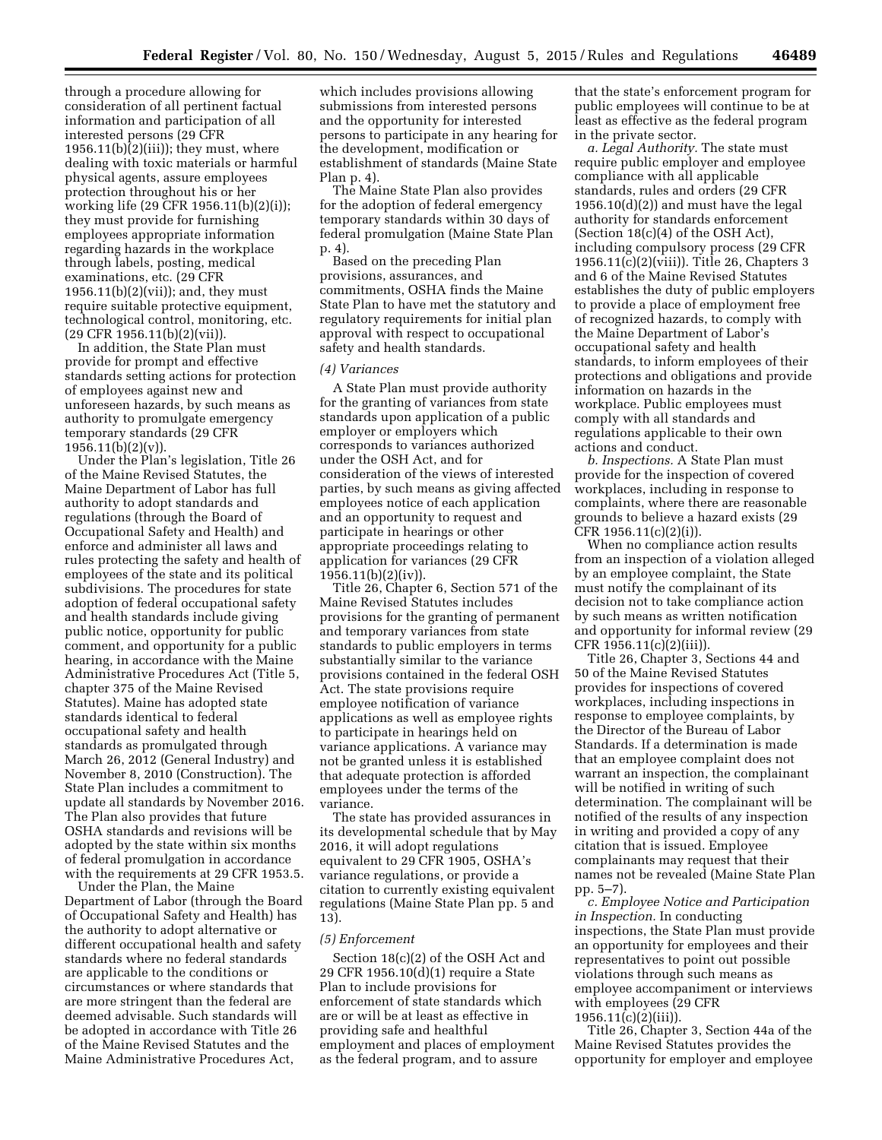through a procedure allowing for consideration of all pertinent factual information and participation of all interested persons (29 CFR 1956.11(b) $\tilde{2}$ (iii)); they must, where dealing with toxic materials or harmful physical agents, assure employees protection throughout his or her working life (29 CFR 1956.11(b)(2)(i)); they must provide for furnishing employees appropriate information regarding hazards in the workplace through labels, posting, medical examinations, etc. (29 CFR 1956.11(b)(2)(vii)); and, they must require suitable protective equipment, technological control, monitoring, etc. (29 CFR 1956.11(b)(2)(vii)).

In addition, the State Plan must provide for prompt and effective standards setting actions for protection of employees against new and unforeseen hazards, by such means as authority to promulgate emergency temporary standards (29 CFR  $1956.11(b)(2)(v)$ .

Under the Plan's legislation, Title 26 of the Maine Revised Statutes, the Maine Department of Labor has full authority to adopt standards and regulations (through the Board of Occupational Safety and Health) and enforce and administer all laws and rules protecting the safety and health of employees of the state and its political subdivisions. The procedures for state adoption of federal occupational safety and health standards include giving public notice, opportunity for public comment, and opportunity for a public hearing, in accordance with the Maine Administrative Procedures Act (Title 5, chapter 375 of the Maine Revised Statutes). Maine has adopted state standards identical to federal occupational safety and health standards as promulgated through March 26, 2012 (General Industry) and November 8, 2010 (Construction). The State Plan includes a commitment to update all standards by November 2016. The Plan also provides that future OSHA standards and revisions will be adopted by the state within six months of federal promulgation in accordance with the requirements at 29 CFR 1953.5.

Under the Plan, the Maine Department of Labor (through the Board of Occupational Safety and Health) has the authority to adopt alternative or different occupational health and safety standards where no federal standards are applicable to the conditions or circumstances or where standards that are more stringent than the federal are deemed advisable. Such standards will be adopted in accordance with Title 26 of the Maine Revised Statutes and the Maine Administrative Procedures Act,

which includes provisions allowing submissions from interested persons and the opportunity for interested persons to participate in any hearing for the development, modification or establishment of standards (Maine State Plan p. 4).

The Maine State Plan also provides for the adoption of federal emergency temporary standards within 30 days of federal promulgation (Maine State Plan p. 4).

Based on the preceding Plan provisions, assurances, and commitments, OSHA finds the Maine State Plan to have met the statutory and regulatory requirements for initial plan approval with respect to occupational safety and health standards.

### *(4) Variances*

A State Plan must provide authority for the granting of variances from state standards upon application of a public employer or employers which corresponds to variances authorized under the OSH Act, and for consideration of the views of interested parties, by such means as giving affected employees notice of each application and an opportunity to request and participate in hearings or other appropriate proceedings relating to application for variances (29 CFR 1956.11(b)(2)(iv)).

Title 26, Chapter 6, Section 571 of the Maine Revised Statutes includes provisions for the granting of permanent and temporary variances from state standards to public employers in terms substantially similar to the variance provisions contained in the federal OSH Act. The state provisions require employee notification of variance applications as well as employee rights to participate in hearings held on variance applications. A variance may not be granted unless it is established that adequate protection is afforded employees under the terms of the variance.

The state has provided assurances in its developmental schedule that by May 2016, it will adopt regulations equivalent to 29 CFR 1905, OSHA's variance regulations, or provide a citation to currently existing equivalent regulations (Maine State Plan pp. 5 and 13).

#### *(5) Enforcement*

Section 18(c)(2) of the OSH Act and 29 CFR 1956.10(d)(1) require a State Plan to include provisions for enforcement of state standards which are or will be at least as effective in providing safe and healthful employment and places of employment as the federal program, and to assure

that the state's enforcement program for public employees will continue to be at least as effective as the federal program in the private sector.

*a. Legal Authority.* The state must require public employer and employee compliance with all applicable standards, rules and orders (29 CFR  $1956.10(d)(2)$  and must have the legal authority for standards enforcement (Section 18(c)(4) of the OSH Act), including compulsory process (29 CFR 1956.11(c)(2)(viii)). Title 26, Chapters 3 and 6 of the Maine Revised Statutes establishes the duty of public employers to provide a place of employment free of recognized hazards, to comply with the Maine Department of Labor's occupational safety and health standards, to inform employees of their protections and obligations and provide information on hazards in the workplace. Public employees must comply with all standards and regulations applicable to their own actions and conduct.

*b. Inspections.* A State Plan must provide for the inspection of covered workplaces, including in response to complaints, where there are reasonable grounds to believe a hazard exists (29 CFR 1956.11(c)(2)(i)).

When no compliance action results from an inspection of a violation alleged by an employee complaint, the State must notify the complainant of its decision not to take compliance action by such means as written notification and opportunity for informal review (29 CFR 1956.11(c)(2)(iii)).

Title 26, Chapter 3, Sections 44 and 50 of the Maine Revised Statutes provides for inspections of covered workplaces, including inspections in response to employee complaints, by the Director of the Bureau of Labor Standards. If a determination is made that an employee complaint does not warrant an inspection, the complainant will be notified in writing of such determination. The complainant will be notified of the results of any inspection in writing and provided a copy of any citation that is issued. Employee complainants may request that their names not be revealed (Maine State Plan pp. 5–7).

*c. Employee Notice and Participation in Inspection.* In conducting inspections, the State Plan must provide an opportunity for employees and their representatives to point out possible violations through such means as employee accompaniment or interviews with employees (29 CFR 1956.11(c)(2)(iii)).

Title 26, Chapter 3, Section 44a of the Maine Revised Statutes provides the opportunity for employer and employee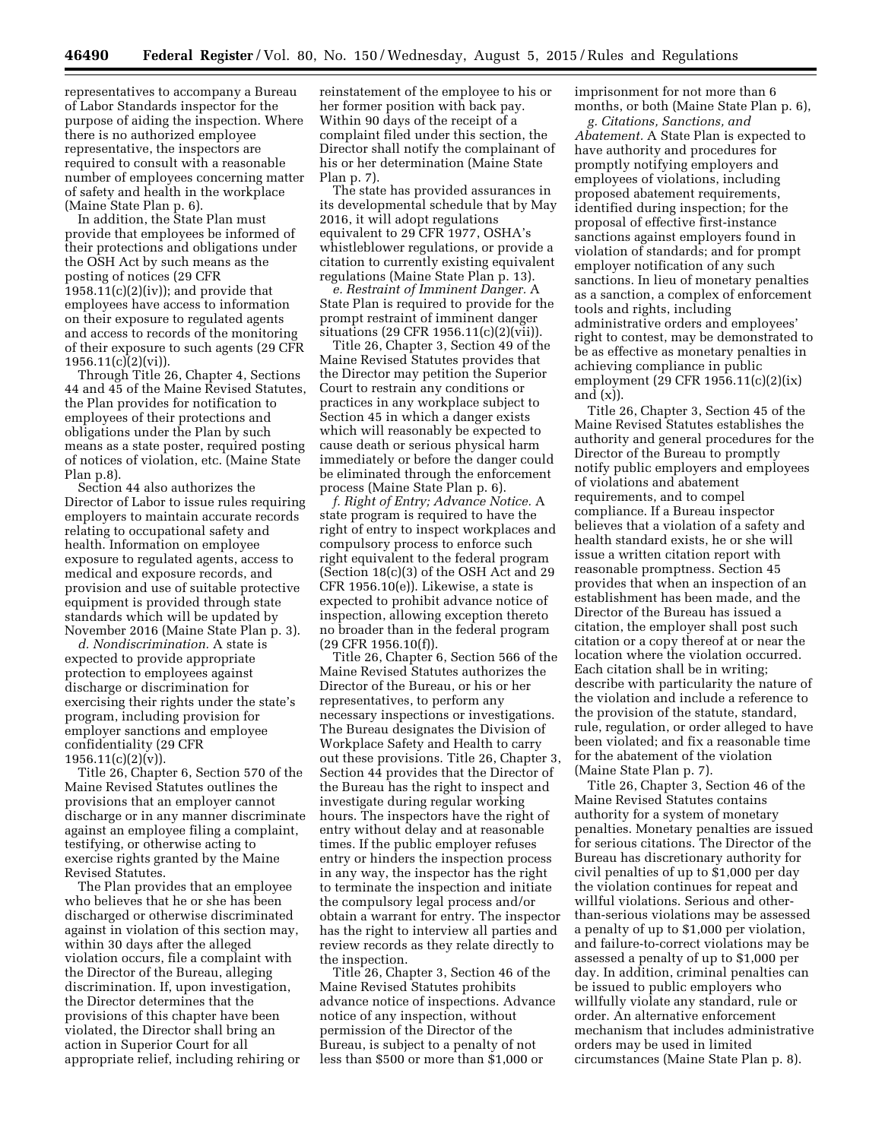representatives to accompany a Bureau of Labor Standards inspector for the purpose of aiding the inspection. Where there is no authorized employee representative, the inspectors are required to consult with a reasonable number of employees concerning matter of safety and health in the workplace (Maine State Plan p. 6).

In addition, the State Plan must provide that employees be informed of their protections and obligations under the OSH Act by such means as the posting of notices (29 CFR  $1958.11(c)(2)(iv)$ ; and provide that employees have access to information on their exposure to regulated agents and access to records of the monitoring of their exposure to such agents (29 CFR  $1956.11(c)(2)(vi)$ ).

Through Title 26, Chapter 4, Sections 44 and 45 of the Maine Revised Statutes, the Plan provides for notification to employees of their protections and obligations under the Plan by such means as a state poster, required posting of notices of violation, etc. (Maine State Plan p.8).

Section 44 also authorizes the Director of Labor to issue rules requiring employers to maintain accurate records relating to occupational safety and health. Information on employee exposure to regulated agents, access to medical and exposure records, and provision and use of suitable protective equipment is provided through state standards which will be updated by November 2016 (Maine State Plan p. 3).

*d. Nondiscrimination.* A state is expected to provide appropriate protection to employees against discharge or discrimination for exercising their rights under the state's program, including provision for employer sanctions and employee confidentiality (29 CFR  $1956.11(c)(2)(v)$ ).

Title 26, Chapter 6, Section 570 of the Maine Revised Statutes outlines the provisions that an employer cannot discharge or in any manner discriminate against an employee filing a complaint, testifying, or otherwise acting to exercise rights granted by the Maine Revised Statutes.

The Plan provides that an employee who believes that he or she has been discharged or otherwise discriminated against in violation of this section may, within 30 days after the alleged violation occurs, file a complaint with the Director of the Bureau, alleging discrimination. If, upon investigation, the Director determines that the provisions of this chapter have been violated, the Director shall bring an action in Superior Court for all appropriate relief, including rehiring or

reinstatement of the employee to his or her former position with back pay. Within 90 days of the receipt of a complaint filed under this section, the Director shall notify the complainant of his or her determination (Maine State Plan p. 7).

The state has provided assurances in its developmental schedule that by May 2016, it will adopt regulations equivalent to 29 CFR 1977, OSHA's whistleblower regulations, or provide a citation to currently existing equivalent regulations (Maine State Plan p. 13).

*e. Restraint of Imminent Danger.* A State Plan is required to provide for the prompt restraint of imminent danger situations (29 CFR 1956.11(c)(2)(vii)).

Title 26, Chapter 3, Section 49 of the Maine Revised Statutes provides that the Director may petition the Superior Court to restrain any conditions or practices in any workplace subject to Section 45 in which a danger exists which will reasonably be expected to cause death or serious physical harm immediately or before the danger could be eliminated through the enforcement process (Maine State Plan p. 6).

*f. Right of Entry; Advance Notice.* A state program is required to have the right of entry to inspect workplaces and compulsory process to enforce such right equivalent to the federal program (Section 18(c)(3) of the OSH Act and 29 CFR 1956.10(e)). Likewise, a state is expected to prohibit advance notice of inspection, allowing exception thereto no broader than in the federal program (29 CFR 1956.10(f)).

Title 26, Chapter 6, Section 566 of the Maine Revised Statutes authorizes the Director of the Bureau, or his or her representatives, to perform any necessary inspections or investigations. The Bureau designates the Division of Workplace Safety and Health to carry out these provisions. Title 26, Chapter 3, Section 44 provides that the Director of the Bureau has the right to inspect and investigate during regular working hours. The inspectors have the right of entry without delay and at reasonable times. If the public employer refuses entry or hinders the inspection process in any way, the inspector has the right to terminate the inspection and initiate the compulsory legal process and/or obtain a warrant for entry. The inspector has the right to interview all parties and review records as they relate directly to the inspection.

Title 26, Chapter 3, Section 46 of the Maine Revised Statutes prohibits advance notice of inspections. Advance notice of any inspection, without permission of the Director of the Bureau, is subject to a penalty of not less than \$500 or more than \$1,000 or

imprisonment for not more than 6 months, or both (Maine State Plan p. 6),

*g. Citations, Sanctions, and Abatement.* A State Plan is expected to have authority and procedures for promptly notifying employers and employees of violations, including proposed abatement requirements, identified during inspection; for the proposal of effective first-instance sanctions against employers found in violation of standards; and for prompt employer notification of any such sanctions. In lieu of monetary penalties as a sanction, a complex of enforcement tools and rights, including administrative orders and employees' right to contest, may be demonstrated to be as effective as monetary penalties in achieving compliance in public employment (29 CFR 1956.11(c)(2)(ix) and  $(x)$ ).

Title 26, Chapter 3, Section 45 of the Maine Revised Statutes establishes the authority and general procedures for the Director of the Bureau to promptly notify public employers and employees of violations and abatement requirements, and to compel compliance. If a Bureau inspector believes that a violation of a safety and health standard exists, he or she will issue a written citation report with reasonable promptness. Section 45 provides that when an inspection of an establishment has been made, and the Director of the Bureau has issued a citation, the employer shall post such citation or a copy thereof at or near the location where the violation occurred. Each citation shall be in writing; describe with particularity the nature of the violation and include a reference to the provision of the statute, standard, rule, regulation, or order alleged to have been violated; and fix a reasonable time for the abatement of the violation (Maine State Plan p. 7).

Title 26, Chapter 3, Section 46 of the Maine Revised Statutes contains authority for a system of monetary penalties. Monetary penalties are issued for serious citations. The Director of the Bureau has discretionary authority for civil penalties of up to \$1,000 per day the violation continues for repeat and willful violations. Serious and otherthan-serious violations may be assessed a penalty of up to \$1,000 per violation, and failure-to-correct violations may be assessed a penalty of up to \$1,000 per day. In addition, criminal penalties can be issued to public employers who willfully violate any standard, rule or order. An alternative enforcement mechanism that includes administrative orders may be used in limited circumstances (Maine State Plan p. 8).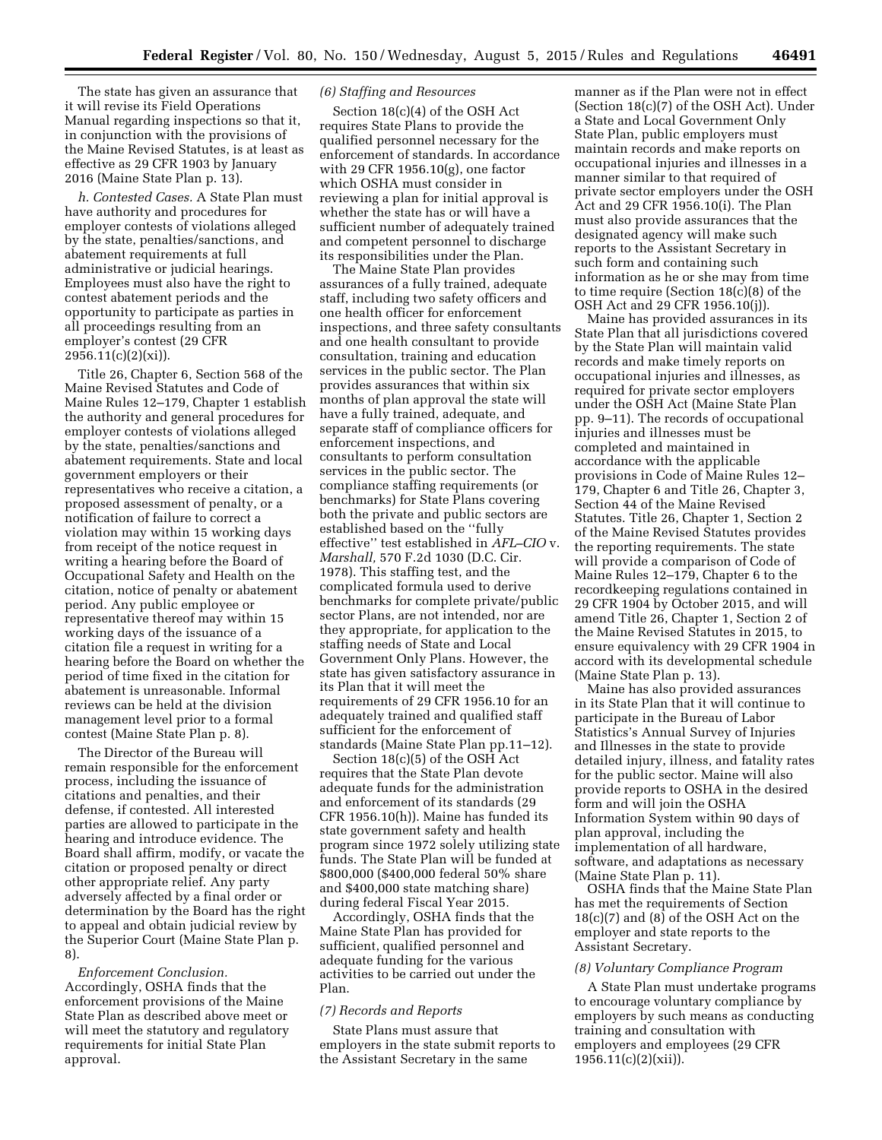The state has given an assurance that it will revise its Field Operations Manual regarding inspections so that it, in conjunction with the provisions of the Maine Revised Statutes, is at least as effective as 29 CFR 1903 by January 2016 (Maine State Plan p. 13).

*h. Contested Cases.* A State Plan must have authority and procedures for employer contests of violations alleged by the state, penalties/sanctions, and abatement requirements at full administrative or judicial hearings. Employees must also have the right to contest abatement periods and the opportunity to participate as parties in all proceedings resulting from an employer's contest (29 CFR  $2956.11(c)(2)(xi)$ .

Title 26, Chapter 6, Section 568 of the Maine Revised Statutes and Code of Maine Rules 12–179, Chapter 1 establish the authority and general procedures for employer contests of violations alleged by the state, penalties/sanctions and abatement requirements. State and local government employers or their representatives who receive a citation, a proposed assessment of penalty, or a notification of failure to correct a violation may within 15 working days from receipt of the notice request in writing a hearing before the Board of Occupational Safety and Health on the citation, notice of penalty or abatement period. Any public employee or representative thereof may within 15 working days of the issuance of a citation file a request in writing for a hearing before the Board on whether the period of time fixed in the citation for abatement is unreasonable. Informal reviews can be held at the division management level prior to a formal contest (Maine State Plan p. 8).

The Director of the Bureau will remain responsible for the enforcement process, including the issuance of citations and penalties, and their defense, if contested. All interested parties are allowed to participate in the hearing and introduce evidence. The Board shall affirm, modify, or vacate the citation or proposed penalty or direct other appropriate relief. Any party adversely affected by a final order or determination by the Board has the right to appeal and obtain judicial review by the Superior Court (Maine State Plan p. 8).

*Enforcement Conclusion.*  Accordingly, OSHA finds that the enforcement provisions of the Maine State Plan as described above meet or will meet the statutory and regulatory requirements for initial State Plan approval.

## *(6) Staffing and Resources*

Section 18(c)(4) of the OSH Act requires State Plans to provide the qualified personnel necessary for the enforcement of standards. In accordance with 29 CFR 1956.10(g), one factor which OSHA must consider in reviewing a plan for initial approval is whether the state has or will have a sufficient number of adequately trained and competent personnel to discharge its responsibilities under the Plan.

The Maine State Plan provides assurances of a fully trained, adequate staff, including two safety officers and one health officer for enforcement inspections, and three safety consultants and one health consultant to provide consultation, training and education services in the public sector. The Plan provides assurances that within six months of plan approval the state will have a fully trained, adequate, and separate staff of compliance officers for enforcement inspections, and consultants to perform consultation services in the public sector. The compliance staffing requirements (or benchmarks) for State Plans covering both the private and public sectors are established based on the ''fully effective'' test established in *AFL–CIO* v. *Marshall,* 570 F.2d 1030 (D.C. Cir. 1978). This staffing test, and the complicated formula used to derive benchmarks for complete private/public sector Plans, are not intended, nor are they appropriate, for application to the staffing needs of State and Local Government Only Plans. However, the state has given satisfactory assurance in its Plan that it will meet the requirements of 29 CFR 1956.10 for an adequately trained and qualified staff sufficient for the enforcement of standards (Maine State Plan pp.11–12).

Section 18(c)(5) of the OSH Act requires that the State Plan devote adequate funds for the administration and enforcement of its standards (29 CFR 1956.10(h)). Maine has funded its state government safety and health program since 1972 solely utilizing state funds. The State Plan will be funded at \$800,000 (\$400,000 federal 50% share and \$400,000 state matching share) during federal Fiscal Year 2015.

Accordingly, OSHA finds that the Maine State Plan has provided for sufficient, qualified personnel and adequate funding for the various activities to be carried out under the Plan.

## *(7) Records and Reports*

State Plans must assure that employers in the state submit reports to the Assistant Secretary in the same

manner as if the Plan were not in effect (Section 18(c)(7) of the OSH Act). Under a State and Local Government Only State Plan, public employers must maintain records and make reports on occupational injuries and illnesses in a manner similar to that required of private sector employers under the OSH Act and 29 CFR 1956.10(i). The Plan must also provide assurances that the designated agency will make such reports to the Assistant Secretary in such form and containing such information as he or she may from time to time require (Section 18(c)(8) of the OSH Act and 29 CFR 1956.10(j)).

Maine has provided assurances in its State Plan that all jurisdictions covered by the State Plan will maintain valid records and make timely reports on occupational injuries and illnesses, as required for private sector employers under the OSH Act (Maine State Plan pp. 9–11). The records of occupational injuries and illnesses must be completed and maintained in accordance with the applicable provisions in Code of Maine Rules 12– 179, Chapter 6 and Title 26, Chapter 3, Section 44 of the Maine Revised Statutes. Title 26, Chapter 1, Section 2 of the Maine Revised Statutes provides the reporting requirements. The state will provide a comparison of Code of Maine Rules 12–179, Chapter 6 to the recordkeeping regulations contained in 29 CFR 1904 by October 2015, and will amend Title 26, Chapter 1, Section 2 of the Maine Revised Statutes in 2015, to ensure equivalency with 29 CFR 1904 in accord with its developmental schedule (Maine State Plan p. 13).

Maine has also provided assurances in its State Plan that it will continue to participate in the Bureau of Labor Statistics's Annual Survey of Injuries and Illnesses in the state to provide detailed injury, illness, and fatality rates for the public sector. Maine will also provide reports to OSHA in the desired form and will join the OSHA Information System within 90 days of plan approval, including the implementation of all hardware, software, and adaptations as necessary (Maine State Plan p. 11).

OSHA finds that the Maine State Plan has met the requirements of Section 18(c)(7) and (8) of the OSH Act on the employer and state reports to the Assistant Secretary.

#### *(8) Voluntary Compliance Program*

A State Plan must undertake programs to encourage voluntary compliance by employers by such means as conducting training and consultation with employers and employees (29 CFR 1956.11(c)(2)(xii)).